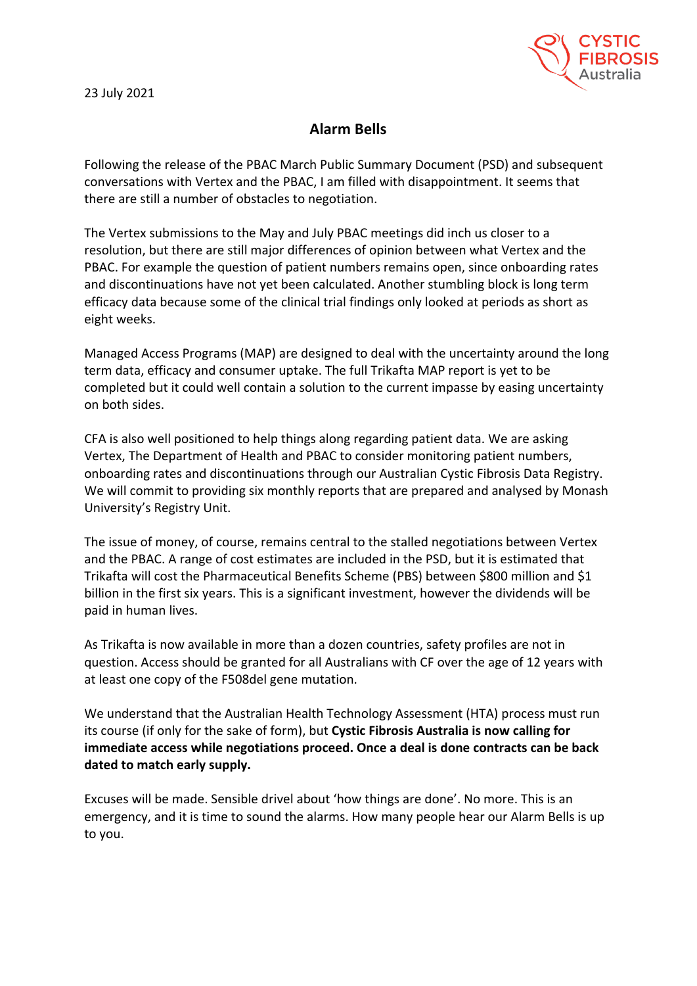23 July 2021



## **Alarm Bells**

Following the release of the PBAC March Public Summary Document (PSD) and subsequent conversations with Vertex and the PBAC, I am filled with disappointment. It seems that there are still a number of obstacles to negotiation.

The Vertex submissions to the May and July PBAC meetings did inch us closer to a resolution, but there are still major differences of opinion between what Vertex and the PBAC. For example the question of patient numbers remains open, since onboarding rates and discontinuations have not yet been calculated. Another stumbling block is long term efficacy data because some of the clinical trial findings only looked at periods as short as eight weeks.

Managed Access Programs (MAP) are designed to deal with the uncertainty around the long term data, efficacy and consumer uptake. The full Trikafta MAP report is yet to be completed but it could well contain a solution to the current impasse by easing uncertainty on both sides.

CFA is also well positioned to help things along regarding patient data. We are asking Vertex, The Department of Health and PBAC to consider monitoring patient numbers, onboarding rates and discontinuations through our Australian Cystic Fibrosis Data Registry. We will commit to providing six monthly reports that are prepared and analysed by Monash University's Registry Unit.

The issue of money, of course, remains central to the stalled negotiations between Vertex and the PBAC. A range of cost estimates are included in the PSD, but it is estimated that Trikafta will cost the Pharmaceutical Benefits Scheme (PBS) between \$800 million and \$1 billion in the first six years. This is a significant investment, however the dividends will be paid in human lives.

As Trikafta is now available in more than a dozen countries, safety profiles are not in question. Access should be granted for all Australians with CF over the age of 12 years with at least one copy of the F508del gene mutation.

We understand that the Australian Health Technology Assessment (HTA) process must run its course (if only for the sake of form), but **Cystic Fibrosis Australia is now calling for immediate access while negotiations proceed. Once a deal is done contracts can be back dated to match early supply.**

Excuses will be made. Sensible drivel about 'how things are done'. No more. This is an emergency, and it is time to sound the alarms. How many people hear our Alarm Bells is up to you.